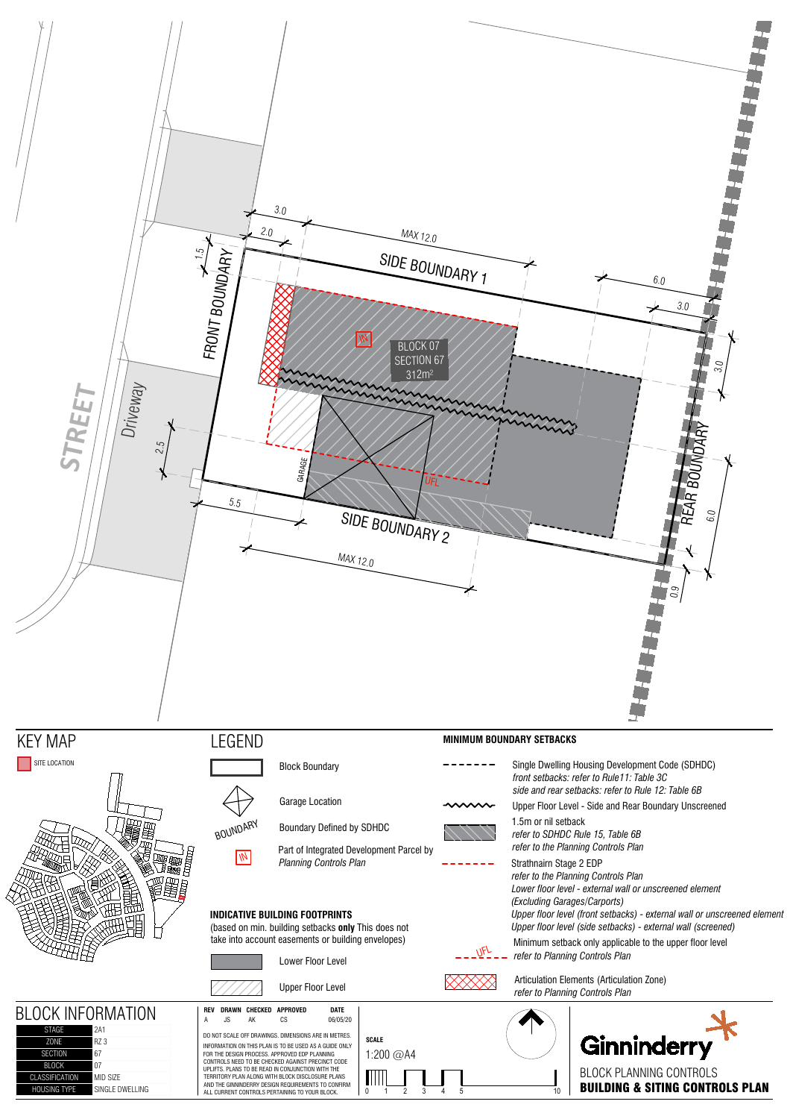